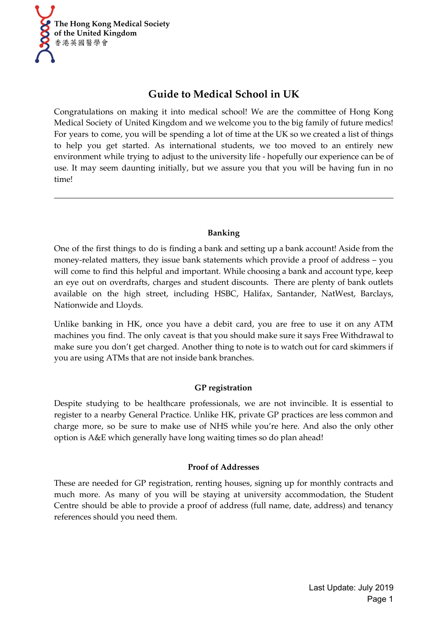

# **Guide to Medical School in UK**

Congratulations on making it into medical school! We are the committee of Hong Kong Medical Society of United Kingdom and we welcome you to the big family of future medics! For years to come, you will be spending a lot of time at the UK so we created a list of things to help you get started. As international students, we too moved to an entirely new environment while trying to adjust to the university life - hopefully our experience can be of use. It may seem daunting initially, but we assure you that you will be having fun in no time!

## **Banking**

One of the first things to do is finding a bank and setting up a bank account! Aside from the money-related matters, they issue bank statements which provide a proof of address – you will come to find this helpful and important. While choosing a bank and account type, keep an eye out on overdrafts, charges and student discounts. There are plenty of bank outlets available on the high street, including HSBC, Halifax, Santander, NatWest, Barclays, Nationwide and Lloyds.

Unlike banking in HK, once you have a debit card, you are free to use it on any ATM machines you find. The only caveat is that you should make sure it says Free Withdrawal to make sure you don't get charged. Another thing to note is to watch out for card skimmers if you are using ATMs that are not inside bank branches.

## **GP registration**

Despite studying to be healthcare professionals, we are not invincible. It is essential to register to a nearby General Practice. Unlike HK, private GP practices are less common and charge more, so be sure to make use of NHS while you're here. And also the only other option is A&E which generally have long waiting times so do plan ahead!

## **Proof of Addresses**

These are needed for GP registration, renting houses, signing up for monthly contracts and much more. As many of you will be staying at university accommodation, the Student Centre should be able to provide a proof of address (full name, date, address) and tenancy references should you need them.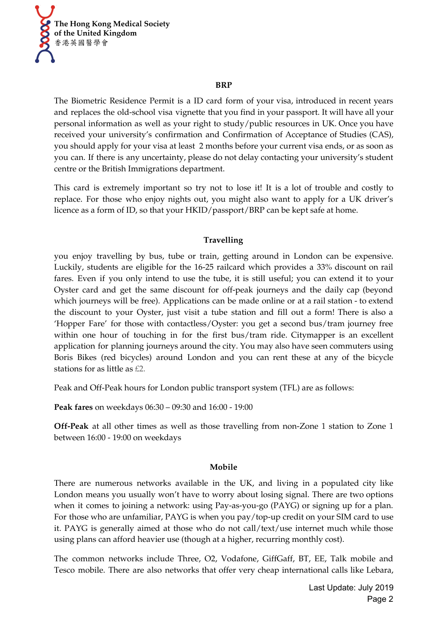

#### **BRP**

The Biometric Residence Permit is a ID card form of your visa, introduced in recent years and replaces the old-school visa vignette that you find in your passport. It will have all your personal information as well as your right to study/public resources in UK. Once you have received your university's confirmation and Confirmation of Acceptance of Studies (CAS), you should apply for your visa at least 2 months before your current visa ends, or as soon as you can. If there is any uncertainty, please do not delay contacting your university's student centre or the British Immigrations department.

This card is extremely important so try not to lose it! It is a lot of trouble and costly to replace. For those who enjoy nights out, you might also want to apply for a UK driver's licence as a form of ID, so that your HKID/passport/BRP can be kept safe at home.

## **Travelling**

you enjoy travelling by bus, tube or train, getting around in London can be expensive. Luckily, students are eligible for the 16-25 railcard which provides a 33% discount on rail fares. Even if you only intend to use the tube, it is still useful; you can extend it to your Oyster card and get the same discount for off-peak journeys and the daily cap (beyond which journeys will be free). Applications can be made online or at a rail station - to extend the discount to your Oyster, just visit a tube station and fill out a form! There is also a 'Hopper Fare' for those with contactless/Oyster: you get a second bus/tram journey free within one hour of touching in for the first bus/tram ride. Citymapper is an excellent application for planning journeys around the city. You may also have seen commuters using Boris Bikes (red bicycles) around London and you can rent these at any of the bicycle stations for as little as £2.

Peak and Off-Peak hours for London public transport system (TFL) are as follows:

**Peak fares** on weekdays 06:30 – 09:30 and 16:00 - 19:00

**Off-Peak** at all other times as well as those travelling from non-Zone 1 station to Zone 1 between 16:00 - 19:00 on weekdays

#### **Mobile**

There are numerous networks available in the UK, and living in a populated city like London means you usually won't have to worry about losing signal. There are two options when it comes to joining a network: using Pay-as-you-go (PAYG) or signing up for a plan. For those who are unfamiliar, PAYG is when you pay/top-up credit on your SIM card to use it. PAYG is generally aimed at those who do not call/text/use internet much while those using plans can afford heavier use (though at a higher, recurring monthly cost).

The common networks include Three, O2, Vodafone, GiffGaff, BT, EE, Talk mobile and Tesco mobile. There are also networks that offer very cheap international calls like Lebara,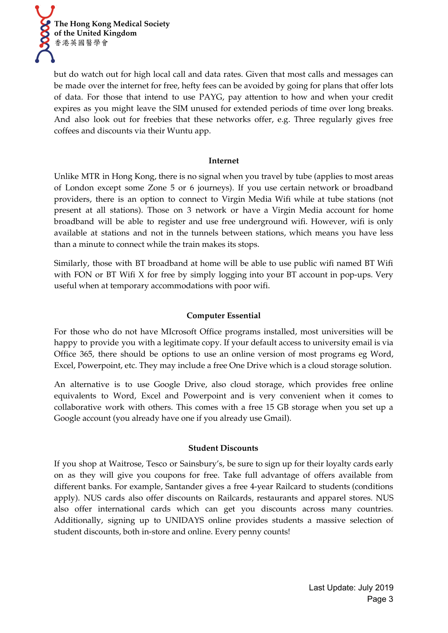

but do watch out for high local call and data rates. Given that most calls and messages can be made over the internet for free, hefty fees can be avoided by going for plans that offer lots of data. For those that intend to use PAYG, pay attention to how and when your credit expires as you might leave the SIM unused for extended periods of time over long breaks. And also look out for freebies that these networks offer, e.g. Three regularly gives free coffees and discounts via their Wuntu app.

#### **Internet**

Unlike MTR in Hong Kong, there is no signal when you travel by tube (applies to most areas of London except some Zone 5 or 6 journeys). If you use certain network or broadband providers, there is an option to connect to Virgin Media Wifi while at tube stations (not present at all stations). Those on 3 network or have a Virgin Media account for home broadband will be able to register and use free underground wifi. However, wifi is only available at stations and not in the tunnels between stations, which means you have less than a minute to connect while the train makes its stops.

Similarly, those with BT broadband at home will be able to use public wifi named BT Wifi with FON or BT Wifi X for free by simply logging into your BT account in pop-ups. Very useful when at temporary accommodations with poor wifi.

### **Computer Essential**

For those who do not have MIcrosoft Office programs installed, most universities will be happy to provide you with a legitimate copy. If your default access to university email is via Office 365, there should be options to use an online version of most programs eg Word, Excel, Powerpoint, etc. They may include a free One Drive which is a cloud storage solution.

An alternative is to use Google Drive, also cloud storage, which provides free online equivalents to Word, Excel and Powerpoint and is very convenient when it comes to collaborative work with others. This comes with a free 15 GB storage when you set up a Google account (you already have one if you already use Gmail).

#### **Student Discounts**

If you shop at Waitrose, Tesco or Sainsbury's, be sure to sign up for their loyalty cards early on as they will give you coupons for free. Take full advantage of offers available from different banks. For example, Santander gives a free 4-year Railcard to students (conditions apply). NUS cards also offer discounts on Railcards, restaurants and apparel stores. NUS also offer international cards which can get you discounts across many countries. Additionally, signing up to UNIDAYS online provides students a massive selection of student discounts, both in-store and online. Every penny counts!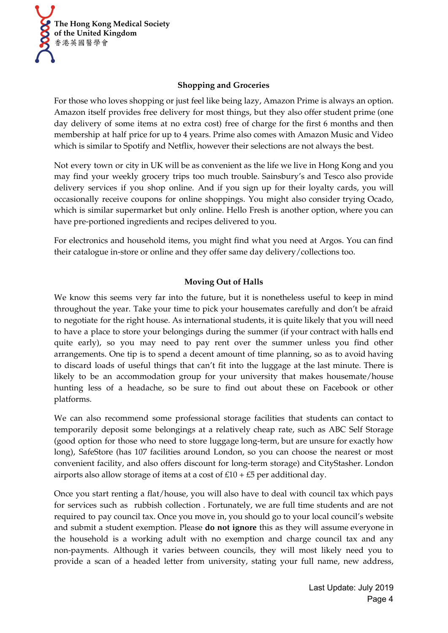

## **Shopping and Groceries**

For those who loves shopping or just feel like being lazy, Amazon Prime is always an option. Amazon itself provides free delivery for most things, but they also offer student prime (one day delivery of some items at no extra cost) free of charge for the first 6 months and then membership at half price for up to 4 years. Prime also comes with Amazon Music and Video which is similar to Spotify and Netflix, however their selections are not always the best.

Not every town or city in UK will be as convenient as the life we live in Hong Kong and you may find your weekly grocery trips too much trouble. Sainsbury's and Tesco also provide delivery services if you shop online. And if you sign up for their loyalty cards, you will occasionally receive coupons for online shoppings. You might also consider trying Ocado, which is similar supermarket but only online. Hello Fresh is another option, where you can have pre-portioned ingredients and recipes delivered to you.

For electronics and household items, you might find what you need at Argos. You can find their catalogue in-store or online and they offer same day delivery/collections too.

## **Moving Out of Halls**

We know this seems very far into the future, but it is nonetheless useful to keep in mind throughout the year. Take your time to pick your housemates carefully and don't be afraid to negotiate for the right house. As international students, it is quite likely that you will need to have a place to store your belongings during the summer (if your contract with halls end quite early), so you may need to pay rent over the summer unless you find other arrangements. One tip is to spend a decent amount of time planning, so as to avoid having to discard loads of useful things that can't fit into the luggage at the last minute. There is likely to be an accommodation group for your university that makes housemate/house hunting less of a headache, so be sure to find out about these on Facebook or other platforms.

We can also recommend some professional storage facilities that students can contact to temporarily deposit some belongings at a relatively cheap rate, such as ABC Self Storage (good option for those who need to store luggage long-term, but are unsure for exactly how long), SafeStore (has 107 facilities around London, so you can choose the nearest or most convenient facility, and also offers discount for long-term storage) and CityStasher. London airports also allow storage of items at a cost of  $£10 + £5$  per additional day.

Once you start renting a flat/house, you will also have to deal with council tax which pays for services such as rubbish collection . Fortunately, we are full time students and are not required to pay council tax. Once you move in, you should go to your local council's website and submit a student exemption. Please **do not ignore** this as they will assume everyone in the household is a working adult with no exemption and charge council tax and any non-payments. Although it varies between councils, they will most likely need you to provide a scan of a headed letter from university, stating your full name, new address,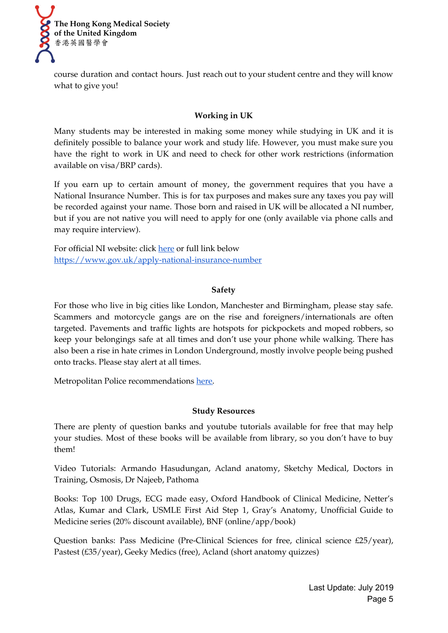

course duration and contact hours. Just reach out to your student centre and they will know what to give you!

## **Working in UK**

Many students may be interested in making some money while studying in UK and it is definitely possible to balance your work and study life. However, you must make sure you have the right to work in UK and need to check for other work restrictions (information available on visa/BRP cards).

If you earn up to certain amount of money, the government requires that you have a National Insurance Number. This is for tax purposes and makes sure any taxes you pay will be recorded against your name. Those born and raised in UK will be allocated a NI number, but if you are not native you will need to apply for one (only available via phone calls and may require interview).

For official NI website: click [here](https://www.gov.uk/apply-national-insurance-number) or full link below <https://www.gov.uk/apply-national-insurance-number>

#### **Safety**

For those who live in big cities like London, Manchester and Birmingham, please stay safe. Scammers and motorcycle gangs are on the rise and foreigners/internationals are often targeted. Pavements and traffic lights are hotspots for pickpockets and moped robbers, so keep your belongings safe at all times and don't use your phone while walking. There has also been a rise in hate crimes in London Underground, mostly involve people being pushed onto tracks. Please stay alert at all times.

Metropolitan Police recommendations [here.](https://www.met.police.uk/cp/crime-prevention/violence/stay-safe/)

#### **Study Resources**

There are plenty of question banks and youtube tutorials available for free that may help your studies. Most of these books will be available from library, so you don't have to buy them!

Video Tutorials: Armando Hasudungan, Acland anatomy, Sketchy Medical, Doctors in Training, Osmosis, Dr Najeeb, Pathoma

Books: Top 100 Drugs, ECG made easy, Oxford Handbook of Clinical Medicine, Netter's Atlas, Kumar and Clark, USMLE First Aid Step 1, Gray's Anatomy, Unofficial Guide to Medicine series (20% discount available), BNF (online/app/book)

Question banks: Pass Medicine (Pre-Clinical Sciences for free, clinical science £25/year), Pastest (£35/year), Geeky Medics (free), Acland (short anatomy quizzes)